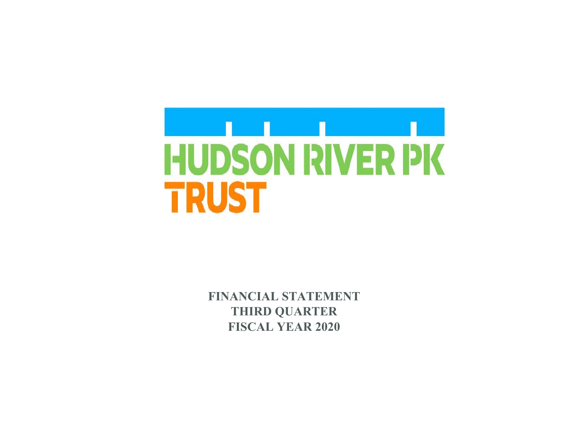

 **FINANCIAL STATEMENT THIRD QUARTER FISCAL YEAR 2020**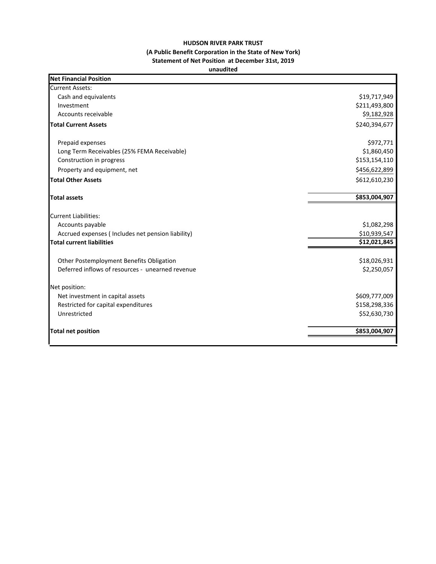## **HUDSON RIVER PARK TRUST (A Public Benefit Corporation in the State of New York) Statement of Net Position at December 31st, 2019 unaudited**

| <b>Net Financial Position</b>                     |               |
|---------------------------------------------------|---------------|
| <b>Current Assets:</b>                            |               |
| Cash and equivalents                              | \$19,717,949  |
| Investment                                        | \$211,493,800 |
| Accounts receivable                               | \$9,182,928   |
| <b>Total Current Assets</b>                       | \$240,394,677 |
| Prepaid expenses                                  | \$972,771     |
| Long Term Receivables (25% FEMA Receivable)       | \$1,860,450   |
| Construction in progress                          | \$153,154,110 |
| Property and equipment, net                       | \$456,622,899 |
| <b>Total Other Assets</b>                         | \$612,610,230 |
| Total assets                                      | \$853,004,907 |
| <b>Current Liabilities:</b>                       |               |
| Accounts payable                                  | \$1,082,298   |
| Accrued expenses (Includes net pension liability) | \$10,939,547  |
| <b>Total current liabilities</b>                  | \$12,021,845  |
| Other Postemployment Benefits Obligation          | \$18,026,931  |
| Deferred inflows of resources - unearned revenue  | \$2,250,057   |
| Net position:                                     |               |
| Net investment in capital assets                  | \$609,777,009 |
| Restricted for capital expenditures               | \$158,298,336 |
| Unrestricted                                      | \$52,630,730  |
| <b>Total net position</b>                         | \$853,004,907 |
|                                                   |               |